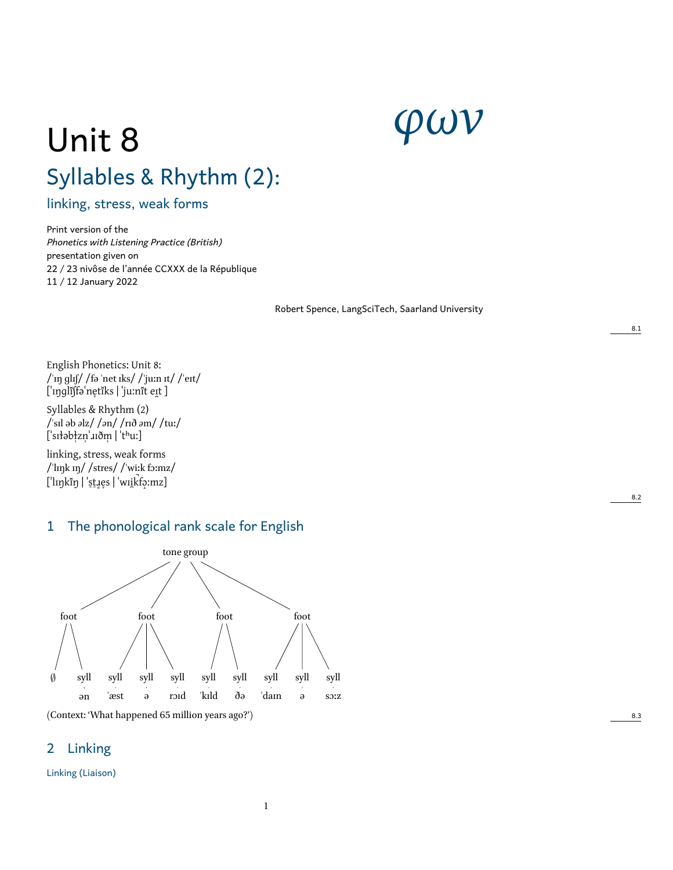# *φων*

# Unit 8 Syllables & Rhythm (2):

linking, stress, weak forms

Print version of the *Phonetics with Listening Practice (British)* presentation given on 22 / 23 nivôse de l'année CCXXX de la République 11 / 12 January 2022

Robert Spence, LangSciTech, Saarland University

English Phonetics: Unit 8: /ˈɪŋ ɡlɪʃ/ /fə ˈnet ɪks/ /ˈjuːn ɪt/ /ˈeɪt/ ['ɪŋɡlɪ̃ʃfə'ne̞tĭks | 'juːnĭt eɪ̯t ]

Syllables & Rhythm (2) /ˈsɪl əb *ə*lz/ /*ə*n/ /rɪð *ə*m/ /tuː/ ['sɪłəbłzn' uðm | 'thuː]

linking, stress, weak forms /ˈlɪŋk ɪŋ/ /stres/ /ˈwiːk fɔːmz/ [ˈlɪŋkɪ̃ŋ | ˈst̪ɹe̞s | ˈwɪi̯kt͡ɔːmz]

# 1 The phonological rank scale for English



# 2 Linking

Linking (Liaison)

8.2

8.1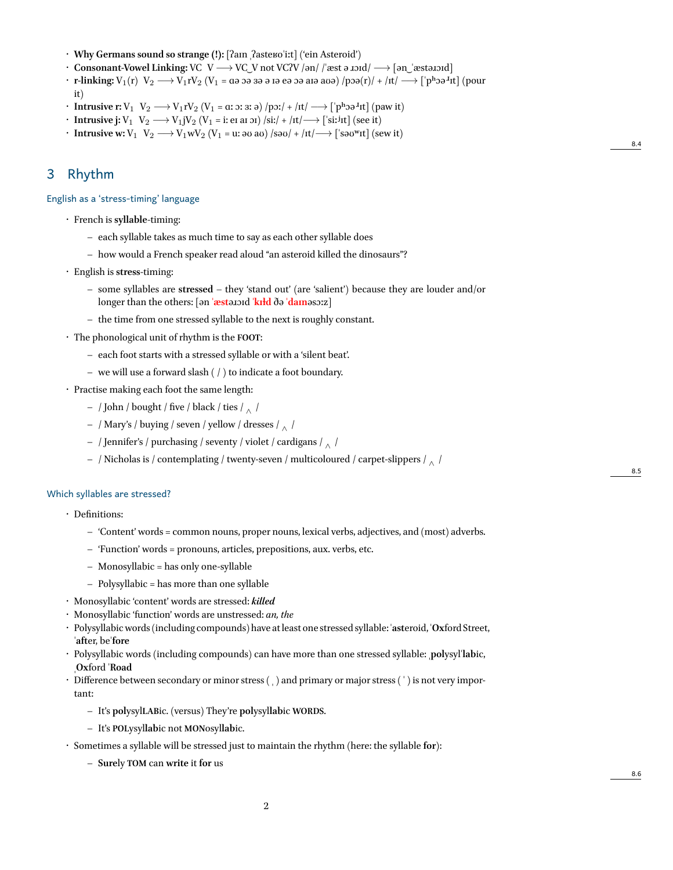- **Why Germans sound so strange (!):** [ʔaɪn ˌʔasteʁoˈiːt] ('ein Asteroid')
- **Consonant-Vowel Linking:** VC V *−→* VC ͜ V not VCʔV /ən/ /ˈæst ə ɹɔɪd/ *−→* [ən ͜ ˈæstəɹɔɪd]
- **r-linking:** <sup>V</sup>1(r) V<sup>2</sup> *−→* <sup>V</sup>1rV<sup>2</sup> (V<sup>1</sup> = ɑə ɔə ɜə ə ɪə eə ɔə aɪə aʊə) /pɔə(r)/ + /ɪt/ *−→* [ˈpʰɔə<sup>ɹ</sup> ɪt] (pour it)

8.4

8.5

8.6

- **Intrusive r:** V<sub>1</sub> V<sub>2</sub> → V<sub>1</sub>rV<sub>2</sub> (V<sub>1</sub> = α: ɔ: ɜ: ə) /pɔ:/ + /ɪt/ → [ˈpʰɔə<sup>ɪ</sup>ɪt] (paw it)
- **Intrusive j:** V<sup>1</sup> V<sup>2</sup> *−→* V1jV<sup>2</sup> (V<sup>1</sup> = i: eɪ aɪ ɔɪ) /si:/ + /ɪt/*−→* [ˈsiː ʲɪt] (see it)
- **Intrusive w:** V<sub>1</sub> V<sub>2</sub> → V<sub>1</sub>wV<sub>2</sub> (V<sub>1</sub> = u: əʊ aʊ) /səʊ/ + /ɪt/→ ['səʊʷɪt] (sew it)

### 3 Rhythm

English as a 'stress-timing' language

- French is **syllable**-timing:
	- **–** each syllable takes as much time to say as each other syllable does
	- **–** how would a French speaker read aloud "an asteroid killed the dinosaurs"?
- English is **stress**-timing:
	- **–** some syllables are **stressed** they 'stand out' (are 'salient') because they are louder and/or longer than the others: [ən **ˈæst**əɹɔɪd **ˈkɪɫd** ðə **ˈdaɪn**əsɔːz]
	- **–** the time from one stressed syllable to the next is roughly constant.
- The phonological unit of rhythm is the **FOOT**:
	- **–** each foot starts with a stressed syllable or with a 'silent beat'.
	- **–** we will use a forward slash ( / ) to indicate a foot boundary.
- Practise making each foot the same length:
	- **–** / John / bought / five / black / ties / *<sup>∧</sup>* /
	- **–** / Mary's / buying / seven / yellow / dresses / *<sup>∧</sup>* /
	- **–** / Jennifer's / purchasing / seventy / violet / cardigans / *<sup>∧</sup>* /
	- **–** / Nicholas is / contemplating / twenty-seven / multicoloured / carpet-slippers / *<sup>∧</sup>* /

#### Which syllables are stressed?

- Definitions:
	- **–** 'Content' words = common nouns, proper nouns, lexical verbs, adjectives, and (most) adverbs.
	- **–** 'Function' words = pronouns, articles, prepositions, aux. verbs, etc.
	- **–** Monosyllabic = has only one-syllable
	- **–** Polysyllabic = has more than one syllable
- Monosyllabic 'content' words are stressed: *killed*
- Monosyllabic 'function' words are unstressed: *an, the*
- Polysyllabicwords (including compounds) have at least one stressed syllable: ˈ**ast**eroid, ˈ**Ox**ford Street, ˈ**aft**er, beˈ**fore**
- Polysyllabic words (including compounds) can have more than one stressed syllable: ˌ**pol**ysylˈ**lab**ic, ˌ**Ox**ford ˈ**Road**
- Difference between secondary or minor stress () and primary or major stress (') is not very important:
	- **–** It's **pol**ysyl**LAB**ic. (versus) They're **pol**ysyl**lab**ic **WORDS**.
	- **–** It's **POL**ysyl**lab**ic not **MON**osyl**lab**ic.
- Sometimes a syllable will be stressed just to maintain the rhythm (here: the syllable **for**):
	- **– Sure**ly **TOM** can **write** it **for** us